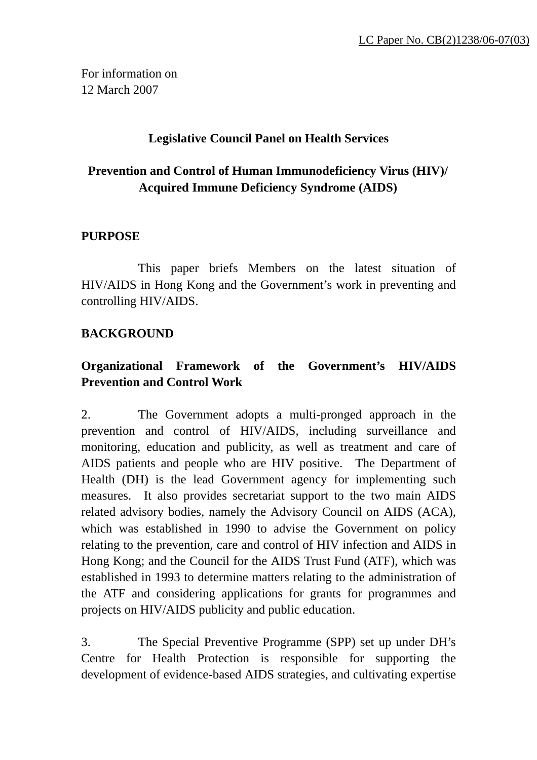For information on 12 March 2007

### **Legislative Council Panel on Health Services**

# **Prevention and Control of Human Immunodeficiency Virus (HIV)/ Acquired Immune Deficiency Syndrome (AIDS)**

#### **PURPOSE**

 This paper briefs Members on the latest situation of HIV/AIDS in Hong Kong and the Government's work in preventing and controlling HIV/AIDS.

### **BACKGROUND**

# **Organizational Framework of the Government's HIV/AIDS Prevention and Control Work**

2. The Government adopts a multi-pronged approach in the prevention and control of HIV/AIDS, including surveillance and monitoring, education and publicity, as well as treatment and care of AIDS patients and people who are HIV positive. The Department of Health (DH) is the lead Government agency for implementing such measures. It also provides secretariat support to the two main AIDS related advisory bodies, namely the Advisory Council on AIDS (ACA), which was established in 1990 to advise the Government on policy relating to the prevention, care and control of HIV infection and AIDS in Hong Kong; and the Council for the AIDS Trust Fund (ATF), which was established in 1993 to determine matters relating to the administration of the ATF and considering applications for grants for programmes and projects on HIV/AIDS publicity and public education.

3. The Special Preventive Programme (SPP) set up under DH's Centre for Health Protection is responsible for supporting the development of evidence-based AIDS strategies, and cultivating expertise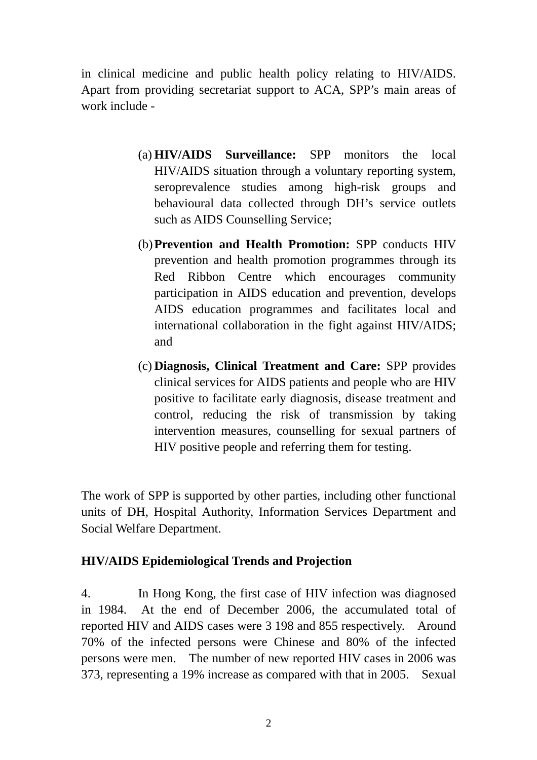in clinical medicine and public health policy relating to HIV/AIDS. Apart from providing secretariat support to ACA, SPP's main areas of work include -

- (a) **HIV/AIDS Surveillance:** SPP monitors the local HIV/AIDS situation through a voluntary reporting system, seroprevalence studies among high-risk groups and behavioural data collected through DH's service outlets such as AIDS Counselling Service;
- (b)**Prevention and Health Promotion:** SPP conducts HIV prevention and health promotion programmes through its Red Ribbon Centre which encourages community participation in AIDS education and prevention, develops AIDS education programmes and facilitates local and international collaboration in the fight against HIV/AIDS; and
- (c) **Diagnosis, Clinical Treatment and Care:** SPP provides clinical services for AIDS patients and people who are HIV positive to facilitate early diagnosis, disease treatment and control, reducing the risk of transmission by taking intervention measures, counselling for sexual partners of HIV positive people and referring them for testing.

The work of SPP is supported by other parties, including other functional units of DH, Hospital Authority, Information Services Department and Social Welfare Department.

#### **HIV/AIDS Epidemiological Trends and Projection**

4. In Hong Kong, the first case of HIV infection was diagnosed in 1984. At the end of December 2006, the accumulated total of reported HIV and AIDS cases were 3 198 and 855 respectively. Around 70% of the infected persons were Chinese and 80% of the infected persons were men. The number of new reported HIV cases in 2006 was 373, representing a 19% increase as compared with that in 2005. Sexual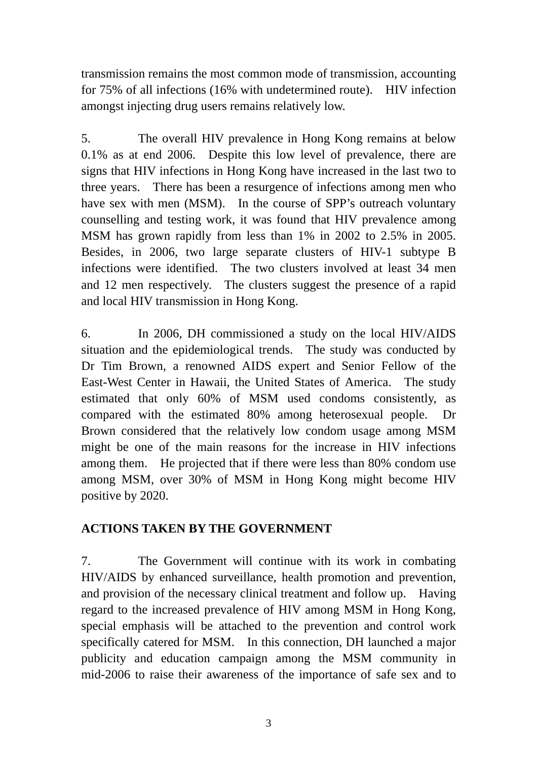transmission remains the most common mode of transmission, accounting for 75% of all infections (16% with undetermined route). HIV infection amongst injecting drug users remains relatively low.

5. The overall HIV prevalence in Hong Kong remains at below 0.1% as at end 2006. Despite this low level of prevalence, there are signs that HIV infections in Hong Kong have increased in the last two to three years. There has been a resurgence of infections among men who have sex with men (MSM). In the course of SPP's outreach voluntary counselling and testing work, it was found that HIV prevalence among MSM has grown rapidly from less than 1% in 2002 to 2.5% in 2005. Besides, in 2006, two large separate clusters of HIV-1 subtype B infections were identified. The two clusters involved at least 34 men and 12 men respectively. The clusters suggest the presence of a rapid and local HIV transmission in Hong Kong.

6. In 2006, DH commissioned a study on the local HIV/AIDS situation and the epidemiological trends. The study was conducted by Dr Tim Brown, a renowned AIDS expert and Senior Fellow of the East-West Center in Hawaii, the United States of America. The study estimated that only 60% of MSM used condoms consistently, as compared with the estimated 80% among heterosexual people. Dr Brown considered that the relatively low condom usage among MSM might be one of the main reasons for the increase in HIV infections among them. He projected that if there were less than 80% condom use among MSM, over 30% of MSM in Hong Kong might become HIV positive by 2020.

### **ACTIONS TAKEN BY THE GOVERNMENT**

7. The Government will continue with its work in combating HIV/AIDS by enhanced surveillance, health promotion and prevention, and provision of the necessary clinical treatment and follow up. Having regard to the increased prevalence of HIV among MSM in Hong Kong, special emphasis will be attached to the prevention and control work specifically catered for MSM. In this connection, DH launched a major publicity and education campaign among the MSM community in mid-2006 to raise their awareness of the importance of safe sex and to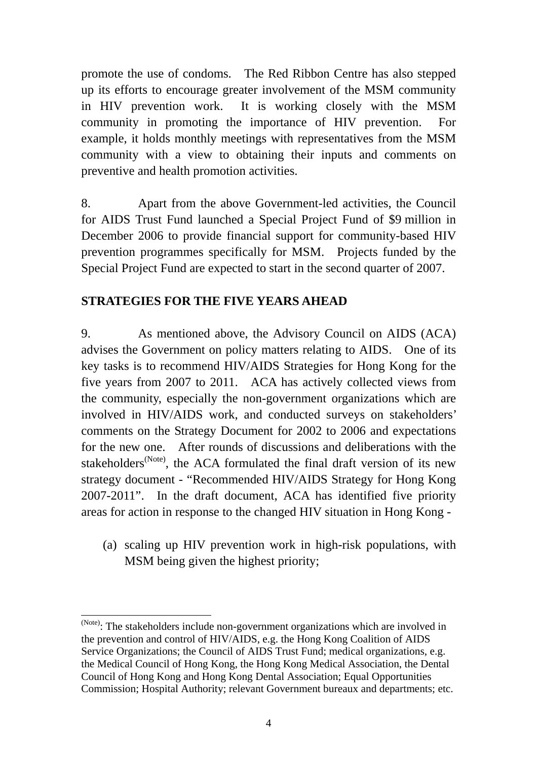promote the use of condoms. The Red Ribbon Centre has also stepped up its efforts to encourage greater involvement of the MSM community in HIV prevention work. It is working closely with the MSM community in promoting the importance of HIV prevention. For example, it holds monthly meetings with representatives from the MSM community with a view to obtaining their inputs and comments on preventive and health promotion activities.

8. Apart from the above Government-led activities, the Council for AIDS Trust Fund launched a Special Project Fund of \$9 million in December 2006 to provide financial support for community-based HIV prevention programmes specifically for MSM. Projects funded by the Special Project Fund are expected to start in the second quarter of 2007.

# **STRATEGIES FOR THE FIVE YEARS AHEAD**

9. As mentioned above, the Advisory Council on AIDS (ACA) advises the Government on policy matters relating to AIDS. One of its key tasks is to recommend HIV/AIDS Strategies for Hong Kong for the five years from 2007 to 2011. ACA has actively collected views from the community, especially the non-government organizations which are involved in HIV/AIDS work, and conducted surveys on stakeholders' comments on the Strategy Document for 2002 to 2006 and expectations for the new one. After rounds of discussions and deliberations with the stakeholders<sup>(Note)</sup>, the ACA formulated the final draft version of its new strategy document - "Recommended HIV/AIDS Strategy for Hong Kong 2007-2011". In the draft document, ACA has identified five priority areas for action in response to the changed HIV situation in Hong Kong -

(a) scaling up HIV prevention work in high-risk populations, with MSM being given the highest priority;

 $\overline{a}$ 

<sup>(</sup>Note): The stakeholders include non-government organizations which are involved in the prevention and control of HIV/AIDS, e.g. the Hong Kong Coalition of AIDS Service Organizations; the Council of AIDS Trust Fund; medical organizations, e.g. the Medical Council of Hong Kong, the Hong Kong Medical Association, the Dental Council of Hong Kong and Hong Kong Dental Association; Equal Opportunities Commission; Hospital Authority; relevant Government bureaux and departments; etc.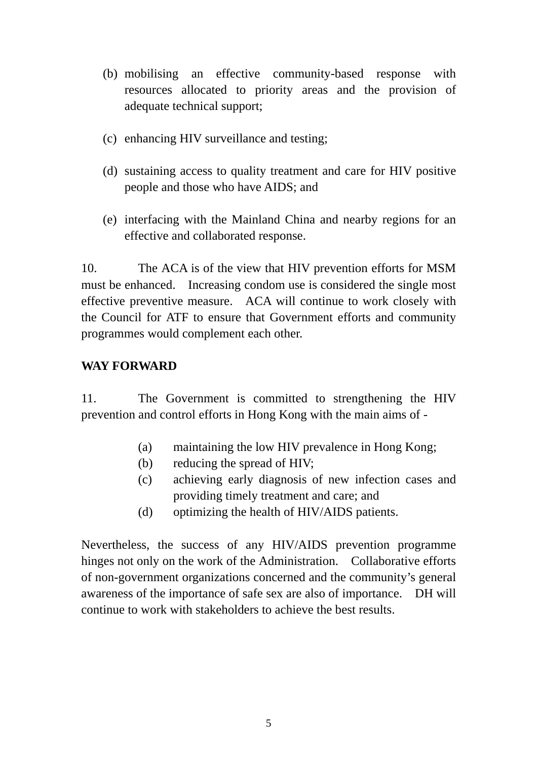- (b) mobilising an effective community-based response with resources allocated to priority areas and the provision of adequate technical support;
- (c) enhancing HIV surveillance and testing;
- (d) sustaining access to quality treatment and care for HIV positive people and those who have AIDS; and
- (e) interfacing with the Mainland China and nearby regions for an effective and collaborated response.

10. The ACA is of the view that HIV prevention efforts for MSM must be enhanced. Increasing condom use is considered the single most effective preventive measure. ACA will continue to work closely with the Council for ATF to ensure that Government efforts and community programmes would complement each other.

#### **WAY FORWARD**

11. The Government is committed to strengthening the HIV prevention and control efforts in Hong Kong with the main aims of -

- (a) maintaining the low HIV prevalence in Hong Kong;
- (b) reducing the spread of HIV;
- (c) achieving early diagnosis of new infection cases and providing timely treatment and care; and
- (d) optimizing the health of HIV/AIDS patients.

Nevertheless, the success of any HIV/AIDS prevention programme hinges not only on the work of the Administration. Collaborative efforts of non-government organizations concerned and the community's general awareness of the importance of safe sex are also of importance. DH will continue to work with stakeholders to achieve the best results.